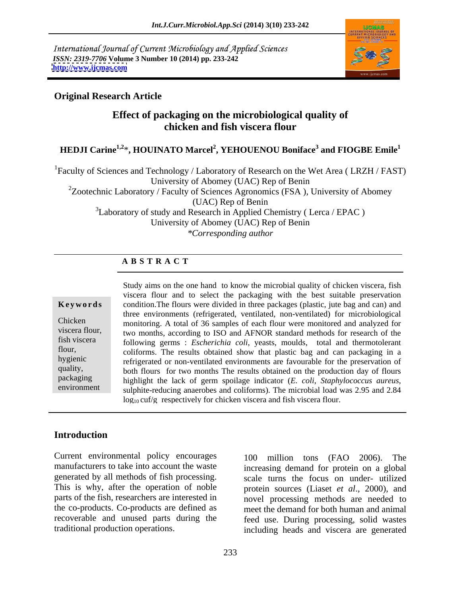International Journal of Current Microbiology and Applied Sciences *ISSN: 2319-7706* **Volume 3 Number 10 (2014) pp. 233-242 <http://www.ijcmas.com>**



## **Original Research Article**

# **Effect of packaging on the microbiological quality of chicken and fish viscera flour**

### $\rm{HEDJI}$  Carine<sup>1,2</sup>\*,  $\rm{HOUINATO}$   $\rm{Marcel}^2$ ,  $\rm{YEHOUENOU}$   $\rm{Boniface}^3$  and  $\rm{FIOGBE}$   $\rm{Emile}^1$ **and FIOGBE Emile<sup>1</sup>**

<sup>1</sup>Faculty of Sciences and Technology / Laboratory of Research on the Wet Area (LRZH / FAST) University of Abomey (UAC) Rep of Benin <sup>2</sup>Zootechnic Laboratory / Faculty of Sciences Agronomics (FSA), University of Abomey (UAC) Rep of Benin  $3$ Laboratory of study and Research in Applied Chemistry (Lerca / EPAC) University of Abomey (UAC) Rep of Benin *\*Corresponding author*

### **A B S T R A C T**

packaging  $\frac{1}{2}$  highlight the lack of germ spoilage indicator  $\left(F\right)$  coli Stanhylococcus aureus environment sulphite-reducing anaerobes and coliforms). The microbial load was 2.95 and 2.84 **Keywords** condition. The flours were divided in three packages (plastic, jute bag and can) and Chicken monitoring. A total of 36 samples of each flour were monitored and analyzed for viscera flour, two months, according to ISO and AFNOR standard methods for research of the fish viscera following germs : *Escherichia coli*, yeasts, moulds, total and thermotolerant flour, coliforms. The results obtained show that plastic bag and can packaging in a hygienic refrigerated or non-ventilated environments are favourable for the preservation of quality, both flours for two months The results obtained on the production day of flours Study aims on the one hand to know the microbial quality of chicken viscera, fish viscera flour and to select the packaging with the best suitable preservation three environments (refrigerated, ventilated, non-ventilated) for microbiological highlight the lack of germ spoilage indicator (*E. coli*, *Staphylococcus aureus*, sulphite-reducing anaerobes and coliforms). The microbial load was 2.95 and 2.84  $\log_{10} \text{cut/g}$  respectively for chicken viscera and fish viscera flour.

# **Introduction**

Current environmental policy encourages a 100 million tons (FAO 2006). The manufacturers to take into account the waste increasing demand for protein on a global generated by all methods of fish processing. This is why, after the operation of noble protein sources (Liaset *et al*., 2000), and parts of the fish, researchers are interested in novel processing methods are needed to the co-products. Co-products are defined as recoverable and unused parts during the

traditional production operations. including heads and viscera are generated 100 million tons (FAO 2006). The scale turns the focus on under- utilized meet the demand for both human and animal feed use. During processing, solid wastes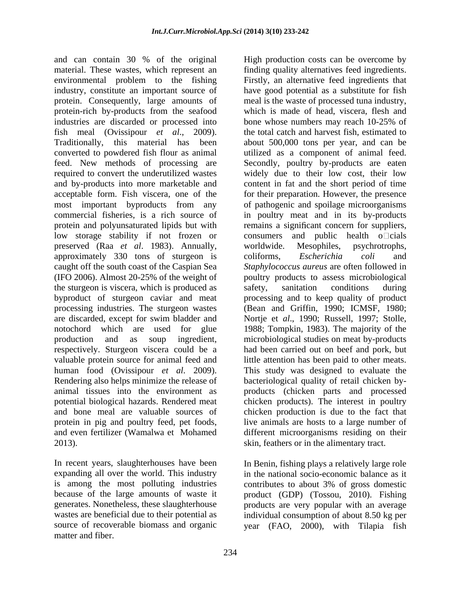and can contain 30 % of the original material. These wastes, which represent an industries are discarded or processed into bone whose numbers may reach 10-25% of fish meal (Ovissipour *et al*., 2009). converted to powdered fish flour as animal utilized as a component of animal feed. feed. New methods of processing are Secondly, poultry by-products are eaten preserved (Raa *et al*. 1983). Annually, approximately 330 tons of sturgeon is coliforms, Escherichia coli and the sturgeon is viscera, which is produced as safety, sanitation conditions during respectively. Sturgeon viscera could be a Rendering also helps minimize the release of 2013). skin, feathers or in the alimentary tract.

In recent years, slaughterhouses have been In Benin, fishing plays a relatively large role expanding all over the world. This industry in the national socio-economic balance as it is among the most polluting industries contributes to about 3% of gross domestic because of the large amounts of waste it product (GDP) (Tossou, 2010). Fishing generates. Nonetheless, these slaughterhouse wastes are beneficial due to their potential as individual consumption of about 8.50 kg per source of recoverable biomass and organic year (FAO, 2000), with Tilapia fishmatter and fiber.

environmental problem to the fishing Firstly, an alternative feed ingredients that industry, constitute an important source of have good potential as a substitute for fish protein. Consequently, large amounts of meal is the waste of processed tuna industry, protein-rich by-products from the seafood which is made of head, viscera, flesh and Traditionally, this material has been about 500,000 tons per year, and can be required to convert the underutilized wastes widely due to their low cost, their low and by-products into more marketable and content in fat and the short period of time acceptable form. Fish viscera, one of the for their preparation. However, the presence most important byproducts from any of pathogenic and spoilage microorganisms commercial fisheries, is a rich source of in poultry meat and in its by-products protein and polyunsaturated lipids but with remains a significant concern for suppliers, low storage stability if not frozen or consumers and public health o cials caught off the south coast of the Caspian Sea *Staphylococcus aureus* are often followed in (IFO 2006). Almost 20-25% of the weight of poultry products to assess microbiological byproduct of sturgeon caviar and meat processing and to keep quality of product processing industries. The sturgeon wastes (Bean and Griffin, 1990; ICMSF, 1980; are discarded, except for swim bladder and Nortje et *al.*, 1990; Russell, 1997; Stolle, notochord which are used for glue 1988; Tompkin, 1983). The majority of the production and as soup ingredient, microbiological studies on meat by-products valuable protein source for animal feed and little attention has been paid to other meats. human food (Ovissipour *et al*. 2009). This study was designed to evaluate the animal tissues into the environment as products (chicken parts and processed potential biological hazards. Rendered meat chicken products). The interest in poultry and bone meal are valuable sources of chicken production is due to the fact that protein in pig and poultry feed, pet foods, live animals are hosts to a large number of and even fertilizer (Wamalwa et Mohamed different microorganisms residing on their finding quality alternatives feed ingredients. bone whose numbers may reach 10-25% of the total catch and harvest fish, estimated to utilized as <sup>a</sup> component of animal feed. Secondly, poultry by-products are eaten worldwide. Mesophiles, psychrotrophs, coliforms, *Escherichia coli* and safety, sanitation conditions during had been carried out on beef and pork, but bacteriological quality of retail chicken by-

High production costs can be overcome by

products are very popular with an average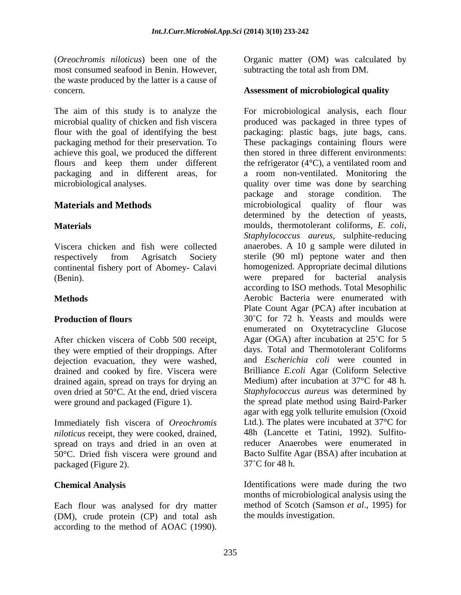(*Oreochromis niloticus*) been one of the most consumed seafood in Benin. However, the waste produced by the latter is a cause of concern. **Assessment of microbiological quality** 

achieve this goal, we produced the different

continental fishery port of Abomey- Calavi

After chicken viscera of Cobb 500 receipt, they were emptied of their droppings. After dejection evacuation, they were washed, drained and cooked by fire. Viscera were drained again, spread on trays for drying an oven dried at 50°C. At the end, dried viscera were ground and packaged (Figure 1).

Immediately fish viscera of *Oreochromis niloticus* receipt, they were cooked, drained, spread on trays and dried in an oven at 50°C. Dried fish viscera were ground and Bacto Sulfite  $\mu$  nackaged (Figure 2). 37°C for 48 h. packaged (Figure 2).

Each flour was analysed for dry matter (DM), crude protein (CP) and total ash subtracting the total ash from DM.

The aim of this study is to analyze the For microbiological analysis, each flour microbial quality of chicken and fish viscera produced was packaged in three types of flour with the goal of identifying the best packaging: plastic bags, jute bags, cans. packaging method for their preservation. To These packagings containing flours were flours and keep them under different the refrigerator (4°C), a ventilated room and packaging and in different areas, for a room non-ventilated. Monitoring the microbiological analyses. quality over time was done by searching **Materials and Methods microbiological quality of flour was Materials** moulds, thermotolerant coliforms, *E. coli*, Viscera chicken and fish were collected anaerobes. A 10 g sample were diluted in respectively from Agrisatch Society sterile (90 ml) peptone water and then (Benin). were prepared for bacterial analysis **Methods** Aerobic Bacteria were enumerated with **Production of flours** 30°C for 72 h. Yeasts and moulds were Cheerestronic soletion and the method of Cheerestronic soletic and the method of AOAC (1990).<br>
Because the method of AOAC (1990). Since the method of AOAC (1990).<br>
Because the method of AOAC (1991) is just by a matter of then stored in three different environments: package and storage condition. The determined by the detection of yeasts, *Staphylococcus aureus*, sulphite-reducing homogenized. Appropriate decimal dilutions according to ISO methods. Total Mesophilic Plate Count Agar (PCA) after incubation at enumerated on Oxytetracycline Glucose Agar (OGA) after incubation at  $25^{\circ}$ C for 5 days. Total and Thermotolerant Coliforms and *Escherichia coli* were counted in Brilliance *E.coli* Agar (Coliform Selective Medium) after incubation at 37°C for 48 h. *Staphylococcus aureus* was determined by the spread plate method using Baird-Parker agar with egg yolk tellurite emulsion (Oxoid Ltd.). The plates were incubated at 37°C for 48h (Lancette et Tatini, 1992). Sulfitoreducer Anaerobes were enumerated in Bacto Sulfite Agar (BSA) after incubation at  $37^{\circ}$ C for 48 h.

**Chemical Analysis**  Identifications were made during the two months of microbiological analysis using the method of Scotch (Samson *et al*., 1995) for the moulds investigation.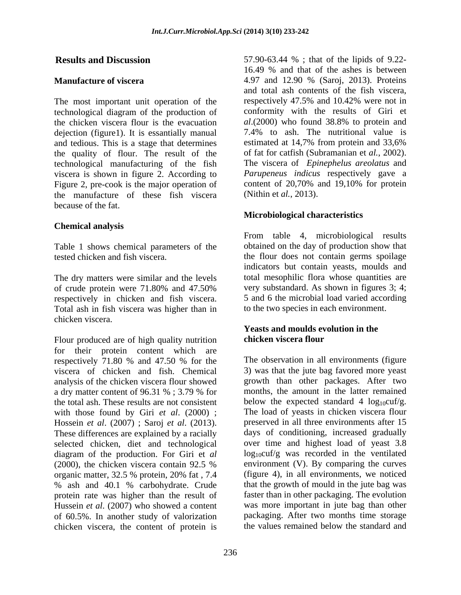The most important unit operation of the respectively 47.5% and 10.42% were not in technological diagram of the production of conformity with the results of Giri et the chicken viscera flour is the evacuation  $dl.(2000)$  who found 38.8% to protein and the chicken viscera flour is the evacuation dejection (figure1). It is essantially manual  $7.4\%$  to ash. The nutritional value is and tedious. This is a stage that determines estimated at 14,7% from protein and 33,6% and tedious. This is a stage that determines the quality of flour. The result of the technological manufacturing of the fish viscera is shown in figure 2. According to *Parupeneus indicus* respectively gave a Figure 2, pre-cook is the major operation of content of 20,70% and 19,10% for protein Figure 2, pre-cook is the major operation of the manufacture of these fish viscera because of the fat.

### **Chemical analysis**

Table 1 shows chemical parameters of the

The dry matters were similar and the levels of crude protein were 71.80% and 47.50% respectively in chicken and fish viscera. Total ash in fish viscera was higher than in chicken viscera.

Flour produced are of high quality nutrition chicken viscera flour for their protein content which are respectively 71.80 % and 47.50 % for the viscera of chicken and fish. Chemical analysis of the chicken viscera flour showed the total ash. These results are not consistent with those found by Giri *et al*. (2000) ; selected chicken, diet and technological diagram of the production. For Giri et *al* organic matter, 32.5 % protein, 20% fat , 7.4 protein rate was higher than the result of Hussein *et al*. (2007) who showed a content of 60.5%. In another study of valorization chicken viscera, the content of protein is

**Results and Discussion** 57.90-63.44 % ; that of the lipids of 9.22- **Manufacture of viscera** 2.97 and 12.90 % (Saroj, 2013). Proteins 16.49 % and that of the ashes is between 4.97 and 12.90 % (Saroj, 2013). Proteins and total ash contents of the fish viscera, respectively 47.5% and 10.42% were not in conformity with the results of Giri et *al*.(2000) who found 38.8% to protein and 7.4% to ash. The nutritional value is estimated at 14,7% from protein and 33,6% of fat for catfish (Subramanian et *al.*, 2002). The viscera of *Epinephelus areolatus* and *Parupeneus indicus* respectively gave a content of 20,70% and 19,10% for protein (Nithin et *al.*, 2013).

# **Microbiological characteristics**

tested chicken and fish viscera. the flour does not contain germs spoilage From table 4, microbiological results obtained on the day of production show that indicators but contain yeasts, moulds and total mesophilic flora whose quantities are very substandard. As shown in figures 3; 4; 5 and 6 the microbial load varied according to the two species in each environment.

### **Yeasts and moulds evolution in the chicken viscera flour**

a dry matter content of 96.31 %; 3.79 % for months, the amount in the latter remained Hossein *et al.* (2007) ; Saroj *et al.* (2013). These environments after 15 are explained by a racially days of conditioning, increased gradually (2000), the chicken viscera contain 92.5 % environment (V). By comparing the curves % ash and 40.1 % carbohydrate. Crude that the growth of mould in the jute bag was The observation in all environments (figure 3) was that the jute bag favored more yeast growth than other packages. After two months, the amount in the latter remained below the expected standard 4  $log_{10}cut/g$ . The load of yeasts in chicken viscera flour preserved in all three environments after 15 days of conditioning, increased gradually over time and highest load of yeast 3.8  $log_{10}cut/g$  was recorded in the ventilated environment (V). By comparing the curves (figure 4), in all environments, we noticed that the growth of mould in the jute bag was faster than in other packaging. The evolution was more important in jute bag than other packaging. After two months time storage the values remained below the standard and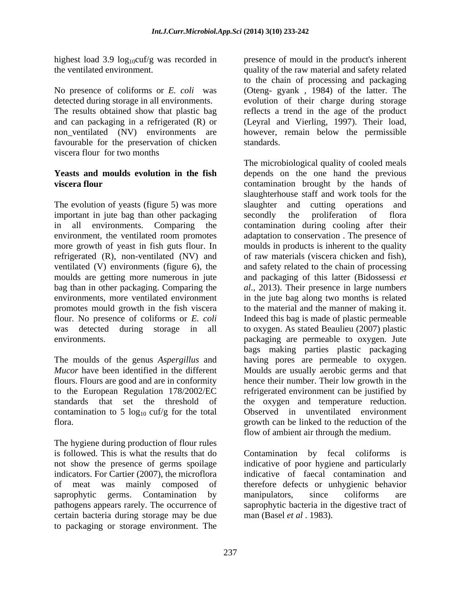favourable for the preservation of chicken standards. viscera flour for two months

The evolution of yeasts (figure 5) was more slaughter and cutting operations and important in jute bag than other packaging secondly the proliferation of flora more growth of yeast in fish guts flour. In refrigerated (R), non-ventilated (NV) and was detected during storage in all

contamination to 5  $log_{10}$  cuf/g for the total

The hygiene during production of flour rules is followed. This is what the results that do Contamination by fecal coliforms is indicators. For Cartier (2007), the microflora certain bacteria during storage may be due to packaging or storage environment. The

highest load 3.9 log<sub>10</sub>cuf/g was recorded in presence of mould in the product's inherent the ventilated environment. quality of the raw material and safety related No presence of coliforms or *E. coli* was (Oteng- gyank , 1984) of the latter. The detected during storage in all environments. evolution of their charge during storage The results obtained show that plastic bag reflects a trend in the age of the product and can packaging in a refrigerated (R) or (Leyral and Vierling, 1997). Their load, non\_ventilated (NV) environments are however, remain below the permissible to the chain of processing and packaging standards.

**Yeasts and moulds evolution in the fish** depends on the one hand the previous **viscera flour**  contamination brought by the hands of in all environments. Comparing the contamination during cooling after their environment, the ventilated room promotes adaptation to conservation . The presence of ventilated (V) environments (figure 6), the and safety related to the chain of processing moulds are getting more numerous in jute and packaging of this latter (Bidossessi *et*  bag than in other packaging. Comparing the *al*., 2013). Their presence in large numbers environments, more ventilated environment in the jute bag along two months is related promotes mould growth in the fish viscera to the material and the manner of making it. flour. No presence of coliforms or *E. coli* Indeed this bag is made of plastic permeable environments. packaging are permeable to oxygen. Jute The moulds of the genus *Aspergillus* and having pores are permeable to oxygen. *Mucor* have been identified in the different Moulds are usually aerobic germs and that flours. Flours are good and are in conformity hence their number. Their low growth in the to the European Regulation 178/2002/EC refrigerated environment can be justified by standards that set the threshold of the oxygen and temperature reduction. flora. growth can be linked to the reduction of the The microbiological quality of cooled meals slaughterhouse staff and work tools for the slaughter and cutting operations and secondly the proliferation of flora moulds in products is inherent to the quality of raw materials (viscera chicken and fish), to oxygen. As stated Beaulieu (2007) plastic bags making parties plastic packaging Observed in unventilated environment flow of ambient air through the medium.

not show the presence of germs spoilage indicative of poor hygiene and particularly of meat was mainly composed of therefore defects or unhygienic behavior saprophytic germs. Contamination by manipulators, since coliforms are pathogens appears rarely. The occurrence of saprophytic bacteria in the digestive tract of Contamination by fecal coliforms indicative of faecal contamination and manipulators, since coliforms are man (Basel *et al* . 1983).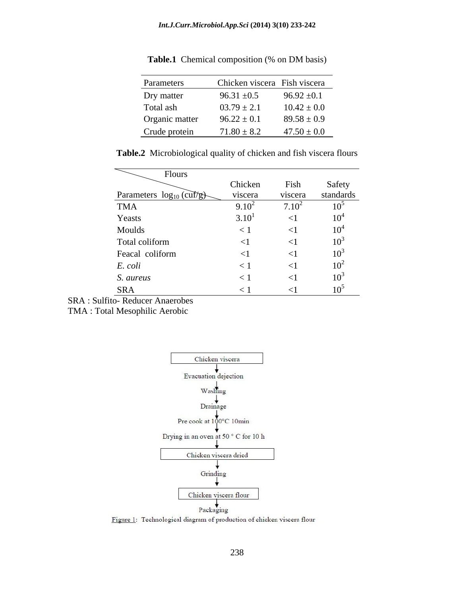| Parameters     |                 | Chicken viscera Fish viscera |
|----------------|-----------------|------------------------------|
| Dry matter     | $96.31 \pm 0.5$ | $96.92 \pm 0.1$              |
| Total ash      | $03.79 \pm 2.1$ | $10.42 \pm 0.0$              |
| Organic matter | $96.22 \pm 0.1$ | $89.58 \pm 0.9$              |
| Crude protein  | $71.80 \pm 8.2$ | $47.50 \pm 0.0$              |

**Table.1** Chemical composition (% on DM basis)

| Table.<br>$\mathbf{r}$<br>and fish viscera flours .<br>Plity of chicke.<br>: chicker<br>Microbiological quali |  |
|---------------------------------------------------------------------------------------------------------------|--|
|                                                                                                               |  |

| Flours                        |            |                  |           |
|-------------------------------|------------|------------------|-----------|
|                               | Chicken    | Fish             | Safety    |
| Parameters $log_{10}$ (curve) | viscera    | viscera          | standards |
| TMA                           | $9.10^{2}$ | /10 <sup>2</sup> |           |
| Yeasts                        | $3.10^{1}$ |                  |           |
| Moulds                        |            |                  |           |
| Total coliform                |            |                  |           |
| Feacal coliform               |            |                  |           |
| E. coli                       |            |                  |           |
| S. aureus                     |            |                  |           |
| <b>SRA</b>                    |            |                  |           |

SRA : Sulfito- Reducer Anaerobes

TMA : Total Mesophilic Aerobic



Figure 1: Technological diagram of production of chicken viscera flour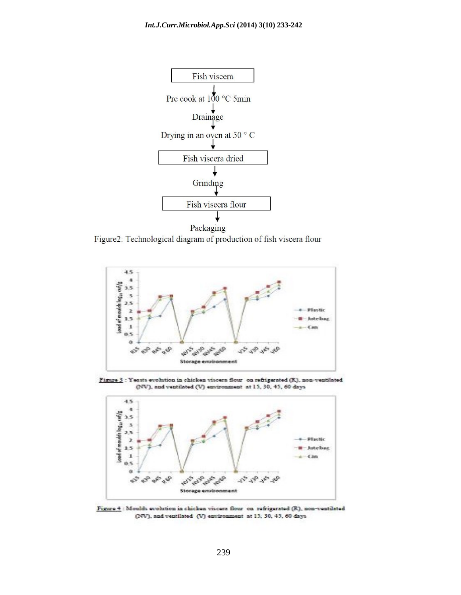

Figure2: Technological diagram of production of fish viscera flour



Figure 3 : Yeasts evolution in chicken viscera flour on refrigerated (R), non-ventilated (NV), and ventilated (V) environment at 15, 30, 45, 60 days



Figure 4 : Moulds evolution in chicken viscers flour on refrigerated (R), non-ventilated (NV), and ventilated (V) environment at 15, 30, 45, 60 days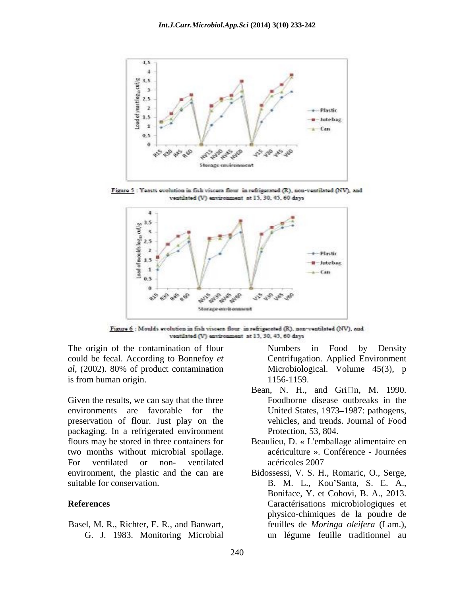

Figure 5 : Yeasts evolution in fish viscera flour in refrigerated (R), non-ventilated (NV), and ventilated (V) environment at 15, 30, 45, 60 days



Figure 6 : Moulds evolution in fish viscera flour in refrigerated (R), non-ventilated (NV), and ventilated (V) environment at 15, 30, 45, 60 days

could be fecal. According to Bonnefoy *et al*, (2002). 80% of product contamination is from human origin. 1156-1159.

Given the results, we can say that the three environments are favorable for the United States, 1973–1987: pathogens, preservation of flour. Just play on the packaging. In a refrigerated environment flours may be stored in three containers for two months without microbial spoilage. For ventilated or non- ventilated acéricoles 2007 environment, the plastic and the can are Bidossessi, V. S. H., Romaric, O., Serge,

Basel, M. R., Richter, E. R., and Banwart,

The origin of the contamination of flour Numbers in Food by Density Numbers in Food by Density Centrifugation. Applied Environment Microbiological. Volume 45(3), p 1156-1159.

- Bean, N. H., and Gri $\Box$ n, M. 1990. Foodborne disease outbreaks in the vehicles, and trends. Journal of Food Protection, 53, 804.
- Beaulieu, D. « L'emballage alimentaire en acériculture ». Conférence - Journées acéricoles 2007
- suitable for conservation. 
B. M. L., Kou'Santa, S. E. A., **References** Caractérisations microbiologiques et G. J. 1983. Monitoring Microbial un légume feuille traditionnel auBoniface, Y. et Cohovi, B. A., 2013. physico-chimiques de la poudre de feuilles de *Moringa oleifera* (Lam.),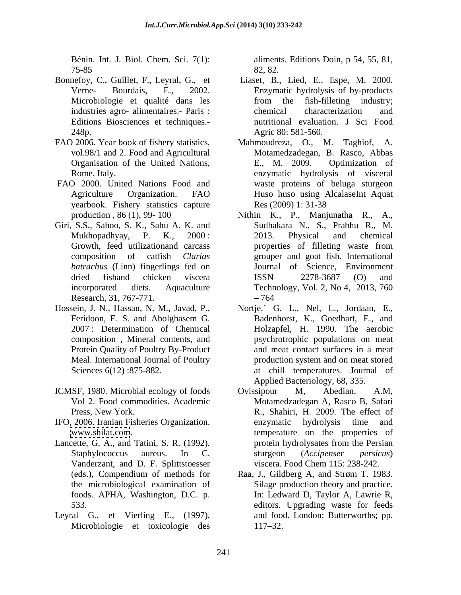75-85

- Bonnefoy, C., Guillet, F., Leyral, G., et Editions Biosciences et techniques.-
- 
- FAO 2000. United Nations Food and yearbook. Fishery statistics capture
- Giri, S.S., Sahoo, S. K., Sahu A. K. and *batrachus* (Linn) fingerlings fed on Research, 31, 767-771.
- Hossein, J. N., Hassan, N. M., Javad, P., Nortje, G. L., Nel, L., Jordaan, E., Protein Quality of Poultry By-Product
- ICMSF, 1980. Microbial ecology of foods Constanting M. Abedian, A.M.
- IFO, 2006. Iranian Fisheries Organization.
- Lancette, G. A., and Tatini, S. R. (1992). protein hydrolysates from the Persian Vanderzant, and D. F. Splittstoesser
- Leyral G., et Vierling E., (1997), Microbiologie et toxicologie des 117–32.

Bénin. Int. J. Biol. Chem. Sci. 7(1): aliments. Editions Doin, p 54, 55, 81, 82, 82.

- Verne- Bourdais, E., 2002. Enzymatic hydrolysis of by-products Microbiologie et qualité dans les from the fish-filleting industry; industries agro- alimentaires.- Paris : 248p. Agric 80: 581-560. Liaset, B., Lied, E., Espe, M. 2000. from the fish-filleting industry; chemical characterization and nutritional evaluation. J Sci Food
- FAO 2006. Year book of fishery statistics, Mahmoudreza, O., M. Taghiof, A. vol.98/1 and 2. Food and Agricultural Motamedzadegan, B. Rasco, Abbas Organisation of the United Nations, E., M. 2009. Optimization of Rome, Italy. enzymatic hydrolysis of visceral Agriculture Organization. FAO E., M. 2009. Optimization of waste proteins of beluga sturgeon Huso huso using AlcalaseInt Aquat Res (2009) 1: 31-38
	- production , 86 (1), 99- 100 Nithin K., P., Manjunatha R., A., Mukhopadhyay, P. K., 2000: 2013. Physical and chemical Growth, feed utilizationand carcass **properties** of filleting waste from composition of catfish *Clarias*  grouper and goat fish. International dried fishand chicken viscera ISSN 2278-3687 (O) and incorporated diets. Aquaculture Technology, Vol. 2, No 4, 2013, 760 Sudhakara N., S., Prabhu R., M. 2013. Physical and chemical properties of filleting waste from Journal of Science, Environment ISSN 2278-3687 (O) and 764
	- Feridoon, E. S. and Abolghasem G. 2007 : Determination of Chemical Holzapfel, H. 1990. The aerobic composition , Mineral contents, and psychrotrophic populations on meat Meal. International Journal of Poultry roduction system and on meat stored Sciences 6(12):875-882. **at chill temperatures**. Journal of Nortje, G. L., Nel, L., Jordaan, E., Badenhorst, K., Goedhart, E., and and meat contact surfaces in a meat production system and on meat stored Applied Bacteriology, 68, 335.
	- Vol 2. Food commodities. Academic Motamedzadegan A, Rasco B, Safari Press, New York. R., Shahiri, H. 2009. The effect of [www.shilat.com](http://www.shilat.com). temperature on the properties of Staphylococcus aureus. In C. sturgeon (Accipenser persicus) Ovissipour M, Abedian, A.M, enzymatic hydrolysis time and protein hydrolysates from the Persian sturgeon (*Accipenser persicus*) viscera. Food Chem 115: 238-242.
	- (eds.), Compendium of methods for Raa, J., Gildberg A, and Strøm T. 1983. the microbiological examination of Silage production theory and practice. foods. APHA, Washington, D.C. p. In: Ledward D, Taylor A, Lawrie R, 533. editors. Upgrading waste for feeds and food. London: Butterworths; pp. 117–32.